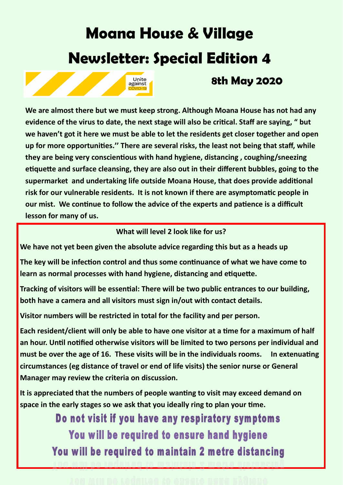# **Moana House & Village Newsletter: Special Edition 4**



# **8th May 2020**

**We are almost there but we must keep strong. Although Moana House has not had any evidence of the virus to date, the next stage will also be critical. Staff are saying, " but we haven't got it here we must be able to let the residents get closer together and open up for more opportunities.'' There are several risks, the least not being that staff, while they are being very conscientious with hand hygiene, distancing , coughing/sneezing etiquette and surface cleansing, they are also out in their different bubbles, going to the supermarket and undertaking life outside Moana House, that does provide additional risk for our vulnerable residents. It is not known if there are asymptomatic people in our mist. We continue to follow the advice of the experts and patience is a difficult lesson for many of us.**

## **What will level 2 look like for us?**

**We have not yet been given the absolute advice regarding this but as a heads up**

**The key will be infection control and thus some continuance of what we have come to learn as normal processes with hand hygiene, distancing and etiquette.**

**Tracking of visitors will be essential: There will be two public entrances to our building, both have a camera and all visitors must sign in/out with contact details.**

**Visitor numbers will be restricted in total for the facility and per person.**

**Each resident/client will only be able to have one visitor at a time for a maximum of half an hour. Until notified otherwise visitors will be limited to two persons per individual and must be over the age of 16. These visits will be in the individuals rooms. In extenuating circumstances (eg distance of travel or end of life visits) the senior nurse or General Manager may review the criteria on discussion.**

**It is appreciated that the numbers of people wanting to visit may exceed demand on space in the early stages so we ask that you ideally ring to plan your time.**

> Do not visit if you have any respiratory symptoms You will be required to ensure hand hygiene You will be required to maintain 2 metre distancing